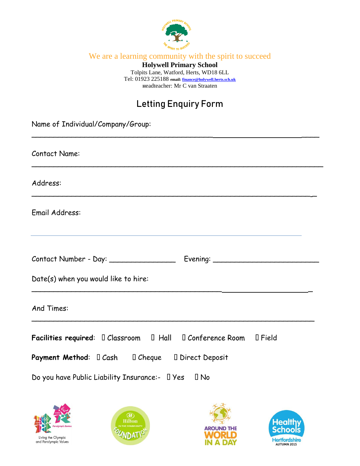

We are a learning community with the spirit to succeed

**Holywell Primary School** Tolpits Lane, Watford, Herts, WD18 6LL Tel: 01923 225188 **email[: finance@holywell.herts.sch.uk](mailto:finance@holywell.herts.sch.uk) <sup>H</sup>**eadteacher: Mr C van Straaten

## **Letting Enquiry Form**

| Name of Individual/Company/Group:                                                                                        |
|--------------------------------------------------------------------------------------------------------------------------|
| Contact Name:                                                                                                            |
| Address:                                                                                                                 |
| Email Address:<br><u> 1989 - Johann Stoff, amerikansk politiker (d. 1989)</u>                                            |
| Contact Number - Day: ____________________ Evening: ____________________________<br>Date(s) when you would like to hire: |
| And Times:                                                                                                               |
| Facilities required: 0 Classroom 0 Hall 0 Conference Room 0 Field<br>Do you have Public Liability Insurance:- 0 Yes 0 No |
| <b>a</b><br><b>Healthy</b><br>Schools<br><b>Hilton</b><br><b>AROUND THE</b><br>Living the Olympic<br>Hartfordchir        |

Hertfordshire

**IN A DAY** 

Living the Olympic<br>and Paralympic Values